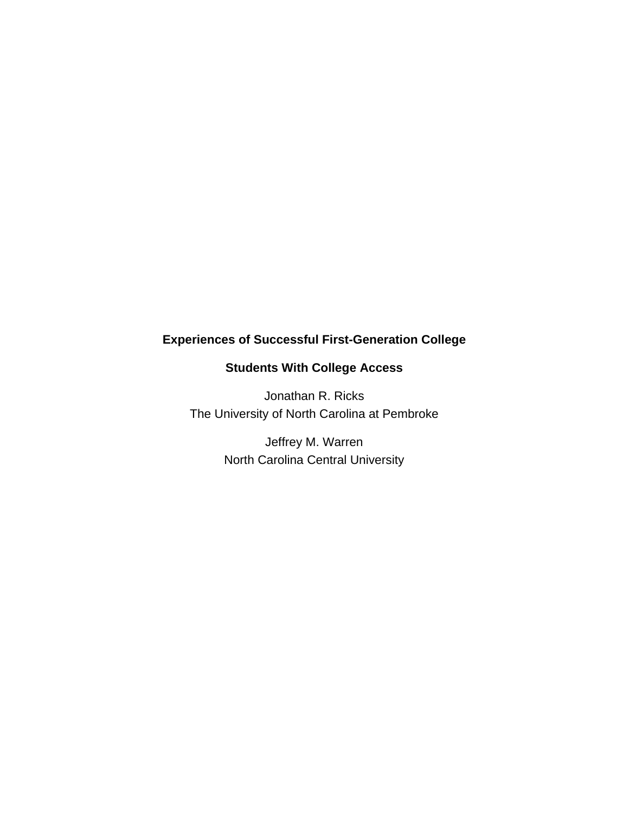# **Experiences of Successful First-Generation College**

# **Students With College Access**

Jonathan R. Ricks The University of North Carolina at Pembroke

> Jeffrey M. Warren North Carolina Central University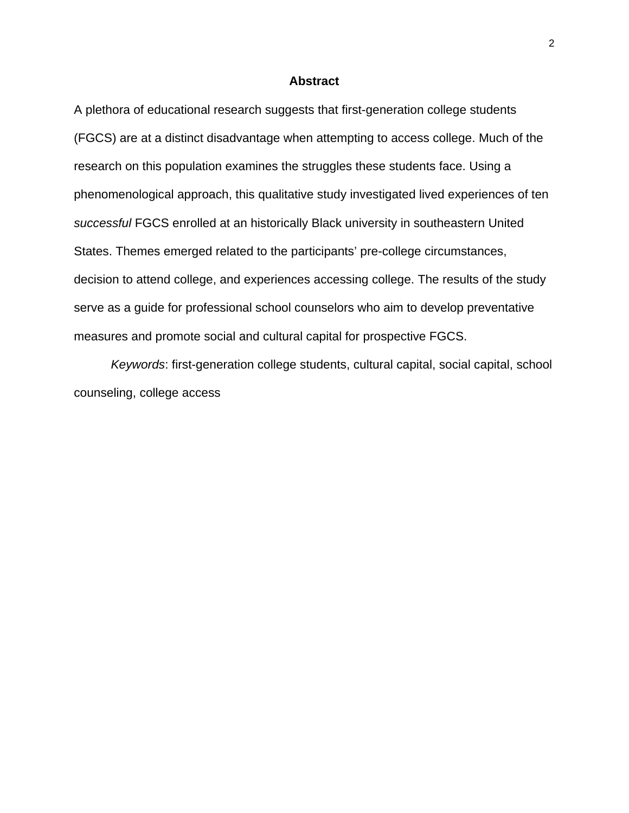## **Abstract**

A plethora of educational research suggests that first-generation college students (FGCS) are at a distinct disadvantage when attempting to access college. Much of the research on this population examines the struggles these students face. Using a phenomenological approach, this qualitative study investigated lived experiences of ten *successful* FGCS enrolled at an historically Black university in southeastern United States. Themes emerged related to the participants' pre-college circumstances, decision to attend college, and experiences accessing college. The results of the study serve as a guide for professional school counselors who aim to develop preventative measures and promote social and cultural capital for prospective FGCS.

*Keywords*: first-generation college students, cultural capital, social capital, school counseling, college access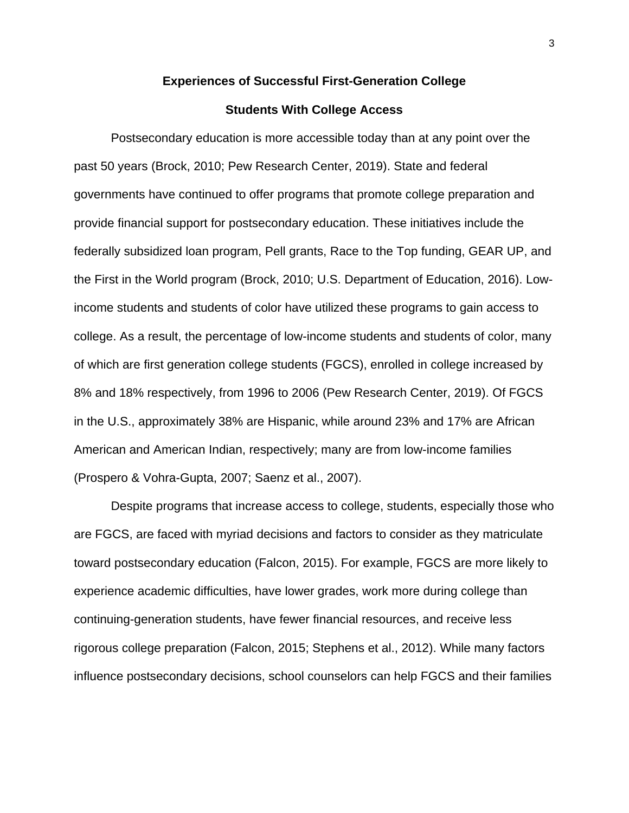#### **Experiences of Successful First-Generation College**

#### **Students With College Access**

Postsecondary education is more accessible today than at any point over the past 50 years (Brock, 2010; Pew Research Center, 2019). State and federal governments have continued to offer programs that promote college preparation and provide financial support for postsecondary education. These initiatives include the federally subsidized loan program, Pell grants, Race to the Top funding, GEAR UP, and the First in the World program (Brock, 2010; U.S. Department of Education, 2016). Lowincome students and students of color have utilized these programs to gain access to college. As a result, the percentage of low-income students and students of color, many of which are first generation college students (FGCS), enrolled in college increased by 8% and 18% respectively, from 1996 to 2006 (Pew Research Center, 2019). Of FGCS in the U.S., approximately 38% are Hispanic, while around 23% and 17% are African American and American Indian, respectively; many are from low-income families (Prospero & Vohra-Gupta, 2007; Saenz et al., 2007).

Despite programs that increase access to college, students, especially those who are FGCS, are faced with myriad decisions and factors to consider as they matriculate toward postsecondary education (Falcon, 2015). For example, FGCS are more likely to experience academic difficulties, have lower grades, work more during college than continuing-generation students, have fewer financial resources, and receive less rigorous college preparation (Falcon, 2015; Stephens et al., 2012). While many factors influence postsecondary decisions, school counselors can help FGCS and their families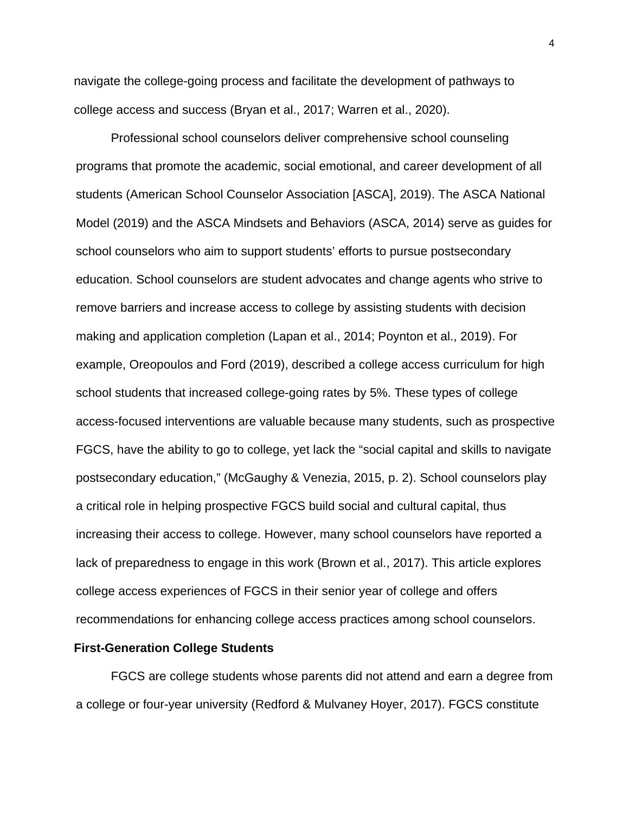navigate the college-going process and facilitate the development of pathways to college access and success (Bryan et al., 2017; Warren et al., 2020).

Professional school counselors deliver comprehensive school counseling programs that promote the academic, social emotional, and career development of all students (American School Counselor Association [ASCA], 2019). The ASCA National Model (2019) and the ASCA Mindsets and Behaviors (ASCA, 2014) serve as guides for school counselors who aim to support students' efforts to pursue postsecondary education. School counselors are student advocates and change agents who strive to remove barriers and increase access to college by assisting students with decision making and application completion (Lapan et al., 2014; Poynton et al., 2019). For example, Oreopoulos and Ford (2019), described a college access curriculum for high school students that increased college-going rates by 5%. These types of college access-focused interventions are valuable because many students, such as prospective FGCS, have the ability to go to college, yet lack the "social capital and skills to navigate postsecondary education," (McGaughy & Venezia, 2015, p. 2). School counselors play a critical role in helping prospective FGCS build social and cultural capital, thus increasing their access to college. However, many school counselors have reported a lack of preparedness to engage in this work (Brown et al., 2017). This article explores college access experiences of FGCS in their senior year of college and offers recommendations for enhancing college access practices among school counselors.

#### **First-Generation College Students**

FGCS are college students whose parents did not attend and earn a degree from a college or four-year university (Redford & Mulvaney Hoyer, 2017). FGCS constitute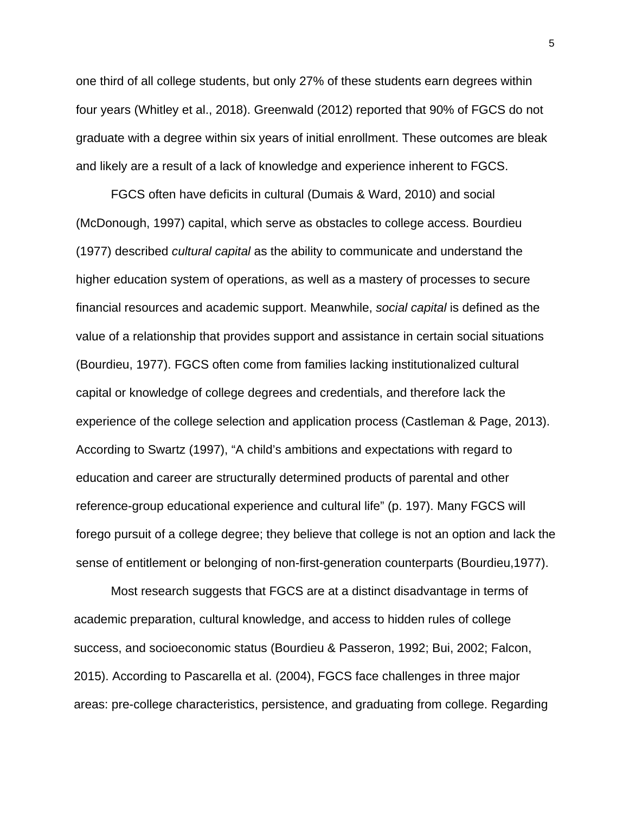one third of all college students, but only 27% of these students earn degrees within four years (Whitley et al., 2018). Greenwald (2012) reported that 90% of FGCS do not graduate with a degree within six years of initial enrollment. These outcomes are bleak and likely are a result of a lack of knowledge and experience inherent to FGCS.

FGCS often have deficits in cultural (Dumais & Ward, 2010) and social (McDonough, 1997) capital, which serve as obstacles to college access. Bourdieu (1977) described *cultural capital* as the ability to communicate and understand the higher education system of operations, as well as a mastery of processes to secure financial resources and academic support. Meanwhile, *social capital* is defined as the value of a relationship that provides support and assistance in certain social situations (Bourdieu, 1977). FGCS often come from families lacking institutionalized cultural capital or knowledge of college degrees and credentials, and therefore lack the experience of the college selection and application process (Castleman & Page, 2013). According to Swartz (1997), "A child's ambitions and expectations with regard to education and career are structurally determined products of parental and other reference-group educational experience and cultural life" (p. 197). Many FGCS will forego pursuit of a college degree; they believe that college is not an option and lack the sense of entitlement or belonging of non-first-generation counterparts (Bourdieu,1977).

Most research suggests that FGCS are at a distinct disadvantage in terms of academic preparation, cultural knowledge, and access to hidden rules of college success, and socioeconomic status (Bourdieu & Passeron, 1992; Bui, 2002; Falcon, 2015). According to Pascarella et al. (2004), FGCS face challenges in three major areas: pre-college characteristics, persistence, and graduating from college. Regarding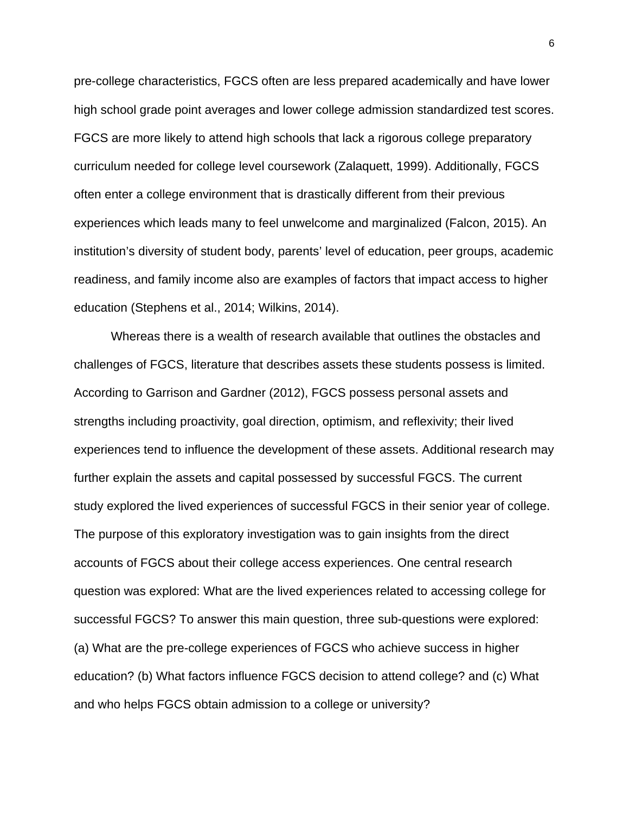pre-college characteristics, FGCS often are less prepared academically and have lower high school grade point averages and lower college admission standardized test scores. FGCS are more likely to attend high schools that lack a rigorous college preparatory curriculum needed for college level coursework (Zalaquett, 1999). Additionally, FGCS often enter a college environment that is drastically different from their previous experiences which leads many to feel unwelcome and marginalized (Falcon, 2015). An institution's diversity of student body, parents' level of education, peer groups, academic readiness, and family income also are examples of factors that impact access to higher education (Stephens et al., 2014; Wilkins, 2014).

Whereas there is a wealth of research available that outlines the obstacles and challenges of FGCS, literature that describes assets these students possess is limited. According to Garrison and Gardner (2012), FGCS possess personal assets and strengths including proactivity, goal direction, optimism, and reflexivity; their lived experiences tend to influence the development of these assets. Additional research may further explain the assets and capital possessed by successful FGCS. The current study explored the lived experiences of successful FGCS in their senior year of college. The purpose of this exploratory investigation was to gain insights from the direct accounts of FGCS about their college access experiences. One central research question was explored: What are the lived experiences related to accessing college for successful FGCS? To answer this main question, three sub-questions were explored: (a) What are the pre-college experiences of FGCS who achieve success in higher education? (b) What factors influence FGCS decision to attend college? and (c) What and who helps FGCS obtain admission to a college or university?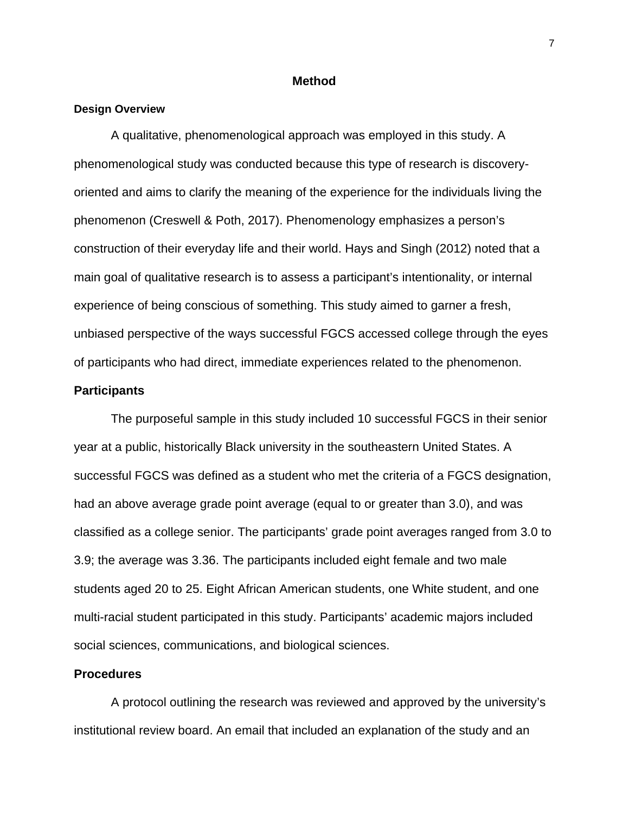#### **Method**

#### **Design Overview**

A qualitative, phenomenological approach was employed in this study. A phenomenological study was conducted because this type of research is discoveryoriented and aims to clarify the meaning of the experience for the individuals living the phenomenon (Creswell & Poth, 2017). Phenomenology emphasizes a person's construction of their everyday life and their world. Hays and Singh (2012) noted that a main goal of qualitative research is to assess a participant's intentionality, or internal experience of being conscious of something. This study aimed to garner a fresh, unbiased perspective of the ways successful FGCS accessed college through the eyes of participants who had direct, immediate experiences related to the phenomenon.

#### **Participants**

The purposeful sample in this study included 10 successful FGCS in their senior year at a public, historically Black university in the southeastern United States. A successful FGCS was defined as a student who met the criteria of a FGCS designation, had an above average grade point average (equal to or greater than 3.0), and was classified as a college senior. The participants' grade point averages ranged from 3.0 to 3.9; the average was 3.36. The participants included eight female and two male students aged 20 to 25. Eight African American students, one White student, and one multi-racial student participated in this study. Participants' academic majors included social sciences, communications, and biological sciences.

# **Procedures**

A protocol outlining the research was reviewed and approved by the university's institutional review board. An email that included an explanation of the study and an

7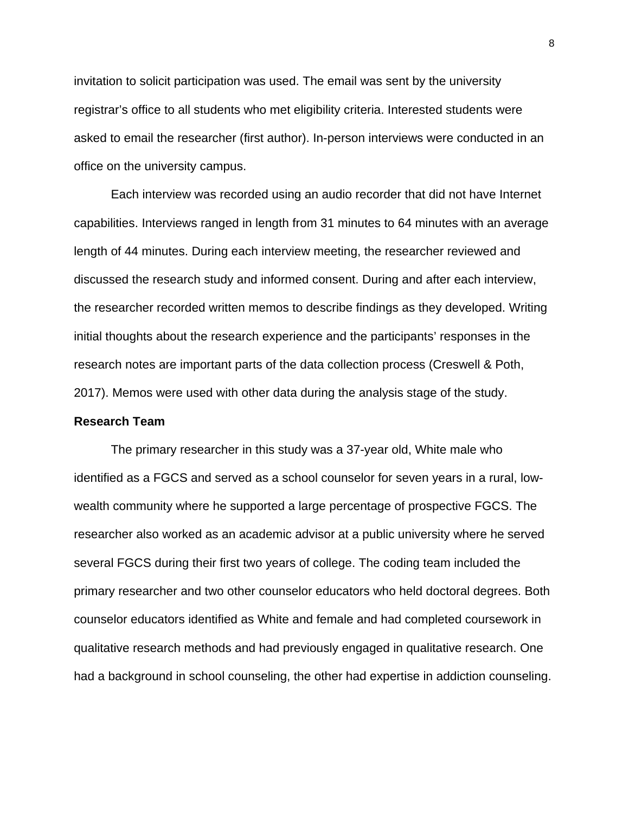invitation to solicit participation was used. The email was sent by the university registrar's office to all students who met eligibility criteria. Interested students were asked to email the researcher (first author). In-person interviews were conducted in an office on the university campus.

Each interview was recorded using an audio recorder that did not have Internet capabilities. Interviews ranged in length from 31 minutes to 64 minutes with an average length of 44 minutes. During each interview meeting, the researcher reviewed and discussed the research study and informed consent. During and after each interview, the researcher recorded written memos to describe findings as they developed. Writing initial thoughts about the research experience and the participants' responses in the research notes are important parts of the data collection process (Creswell & Poth, 2017). Memos were used with other data during the analysis stage of the study.

## **Research Team**

The primary researcher in this study was a 37-year old, White male who identified as a FGCS and served as a school counselor for seven years in a rural, lowwealth community where he supported a large percentage of prospective FGCS. The researcher also worked as an academic advisor at a public university where he served several FGCS during their first two years of college. The coding team included the primary researcher and two other counselor educators who held doctoral degrees. Both counselor educators identified as White and female and had completed coursework in qualitative research methods and had previously engaged in qualitative research. One had a background in school counseling, the other had expertise in addiction counseling.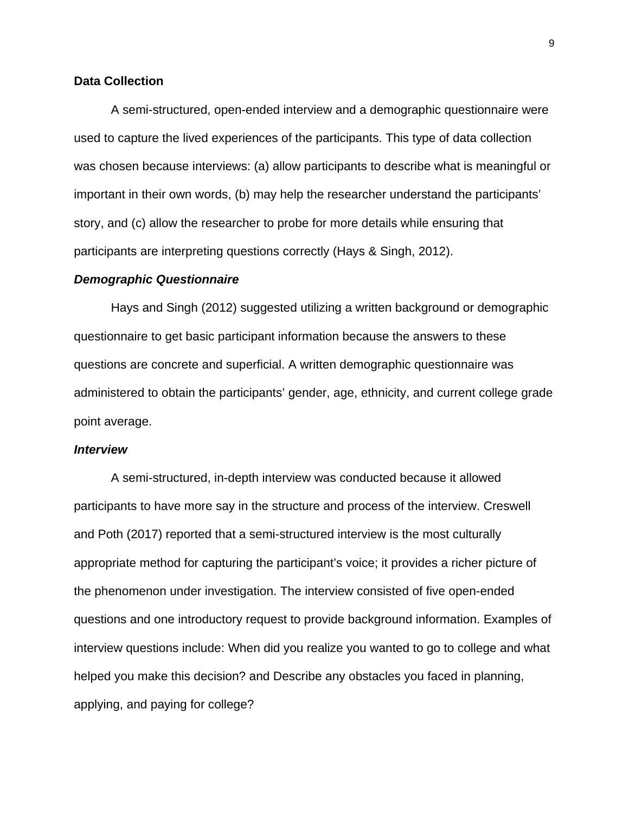# **Data Collection**

A semi-structured, open-ended interview and a demographic questionnaire were used to capture the lived experiences of the participants. This type of data collection was chosen because interviews: (a) allow participants to describe what is meaningful or important in their own words, (b) may help the researcher understand the participants' story, and (c) allow the researcher to probe for more details while ensuring that participants are interpreting questions correctly (Hays & Singh, 2012).

#### *Demographic Questionnaire*

Hays and Singh (2012) suggested utilizing a written background or demographic questionnaire to get basic participant information because the answers to these questions are concrete and superficial. A written demographic questionnaire was administered to obtain the participants' gender, age, ethnicity, and current college grade point average.

#### *Interview*

A semi-structured, in-depth interview was conducted because it allowed participants to have more say in the structure and process of the interview. Creswell and Poth (2017) reported that a semi-structured interview is the most culturally appropriate method for capturing the participant's voice; it provides a richer picture of the phenomenon under investigation. The interview consisted of five open-ended questions and one introductory request to provide background information. Examples of interview questions include: When did you realize you wanted to go to college and what helped you make this decision? and Describe any obstacles you faced in planning, applying, and paying for college?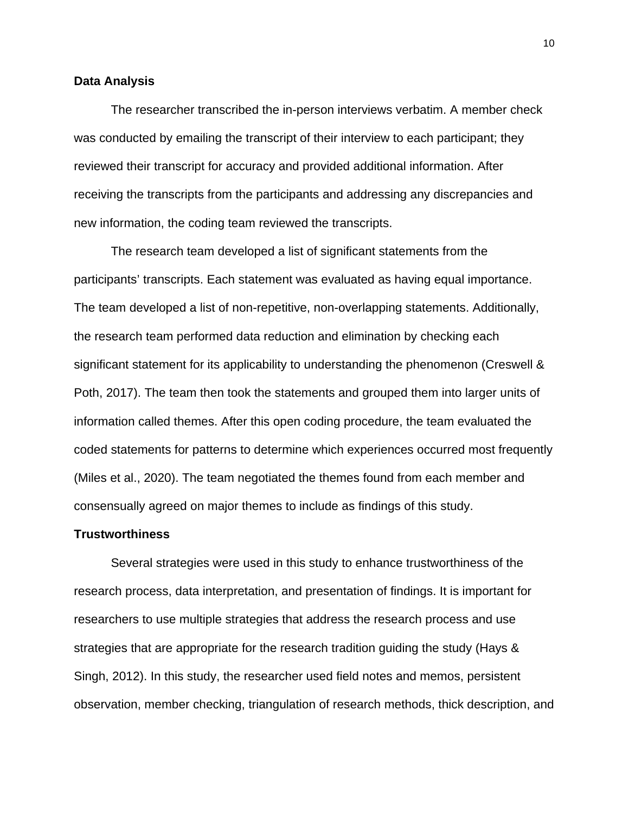#### **Data Analysis**

The researcher transcribed the in-person interviews verbatim. A member check was conducted by emailing the transcript of their interview to each participant; they reviewed their transcript for accuracy and provided additional information. After receiving the transcripts from the participants and addressing any discrepancies and new information, the coding team reviewed the transcripts.

The research team developed a list of significant statements from the participants' transcripts. Each statement was evaluated as having equal importance. The team developed a list of non-repetitive, non-overlapping statements. Additionally, the research team performed data reduction and elimination by checking each significant statement for its applicability to understanding the phenomenon (Creswell & Poth, 2017). The team then took the statements and grouped them into larger units of information called themes. After this open coding procedure, the team evaluated the coded statements for patterns to determine which experiences occurred most frequently (Miles et al., 2020). The team negotiated the themes found from each member and consensually agreed on major themes to include as findings of this study.

#### **Trustworthiness**

Several strategies were used in this study to enhance trustworthiness of the research process, data interpretation, and presentation of findings. It is important for researchers to use multiple strategies that address the research process and use strategies that are appropriate for the research tradition guiding the study (Hays & Singh, 2012). In this study, the researcher used field notes and memos, persistent observation, member checking, triangulation of research methods, thick description, and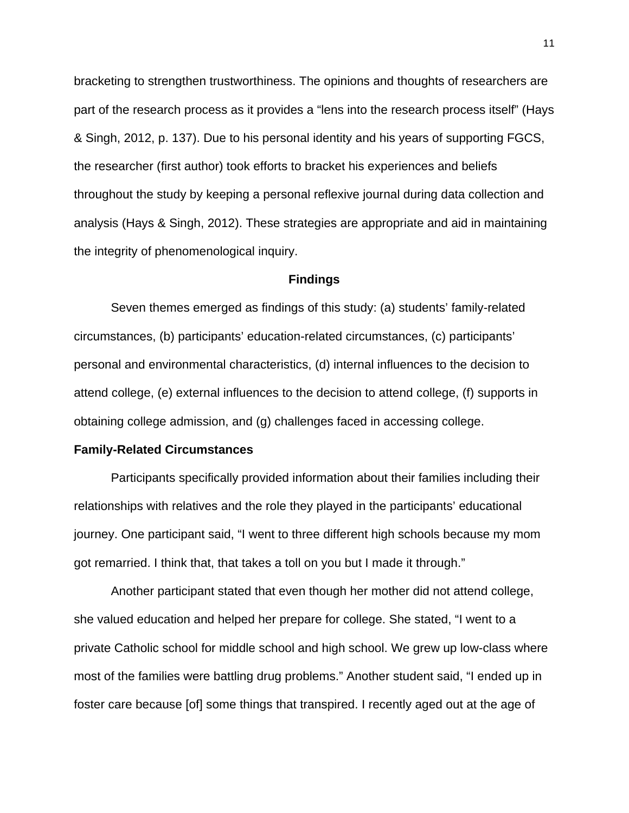bracketing to strengthen trustworthiness. The opinions and thoughts of researchers are part of the research process as it provides a "lens into the research process itself" (Hays & Singh, 2012, p. 137). Due to his personal identity and his years of supporting FGCS, the researcher (first author) took efforts to bracket his experiences and beliefs throughout the study by keeping a personal reflexive journal during data collection and analysis (Hays & Singh, 2012). These strategies are appropriate and aid in maintaining the integrity of phenomenological inquiry.

#### **Findings**

Seven themes emerged as findings of this study: (a) students' family-related circumstances, (b) participants' education-related circumstances, (c) participants' personal and environmental characteristics, (d) internal influences to the decision to attend college, (e) external influences to the decision to attend college, (f) supports in obtaining college admission, and (g) challenges faced in accessing college.

#### **Family-Related Circumstances**

Participants specifically provided information about their families including their relationships with relatives and the role they played in the participants' educational journey. One participant said, "I went to three different high schools because my mom got remarried. I think that, that takes a toll on you but I made it through."

Another participant stated that even though her mother did not attend college, she valued education and helped her prepare for college. She stated, "I went to a private Catholic school for middle school and high school. We grew up low-class where most of the families were battling drug problems." Another student said, "I ended up in foster care because [of] some things that transpired. I recently aged out at the age of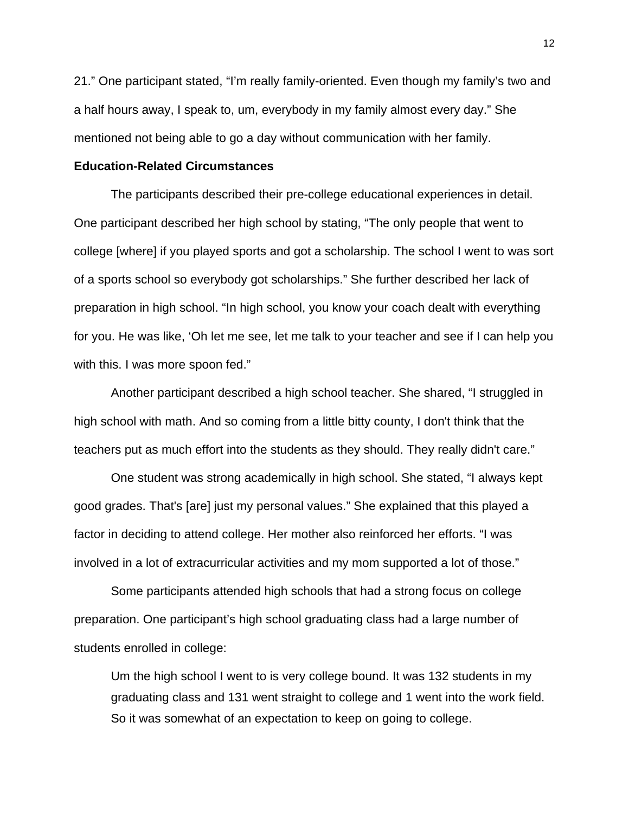21." One participant stated, "I'm really family-oriented. Even though my family's two and a half hours away, I speak to, um, everybody in my family almost every day." She mentioned not being able to go a day without communication with her family.

#### **Education-Related Circumstances**

The participants described their pre-college educational experiences in detail. One participant described her high school by stating, "The only people that went to college [where] if you played sports and got a scholarship. The school I went to was sort of a sports school so everybody got scholarships." She further described her lack of preparation in high school. "In high school, you know your coach dealt with everything for you. He was like, 'Oh let me see, let me talk to your teacher and see if I can help you with this. I was more spoon fed."

Another participant described a high school teacher. She shared, "I struggled in high school with math. And so coming from a little bitty county, I don't think that the teachers put as much effort into the students as they should. They really didn't care."

One student was strong academically in high school. She stated, "I always kept good grades. That's [are] just my personal values." She explained that this played a factor in deciding to attend college. Her mother also reinforced her efforts. "I was involved in a lot of extracurricular activities and my mom supported a lot of those."

Some participants attended high schools that had a strong focus on college preparation. One participant's high school graduating class had a large number of students enrolled in college:

Um the high school I went to is very college bound. It was 132 students in my graduating class and 131 went straight to college and 1 went into the work field. So it was somewhat of an expectation to keep on going to college.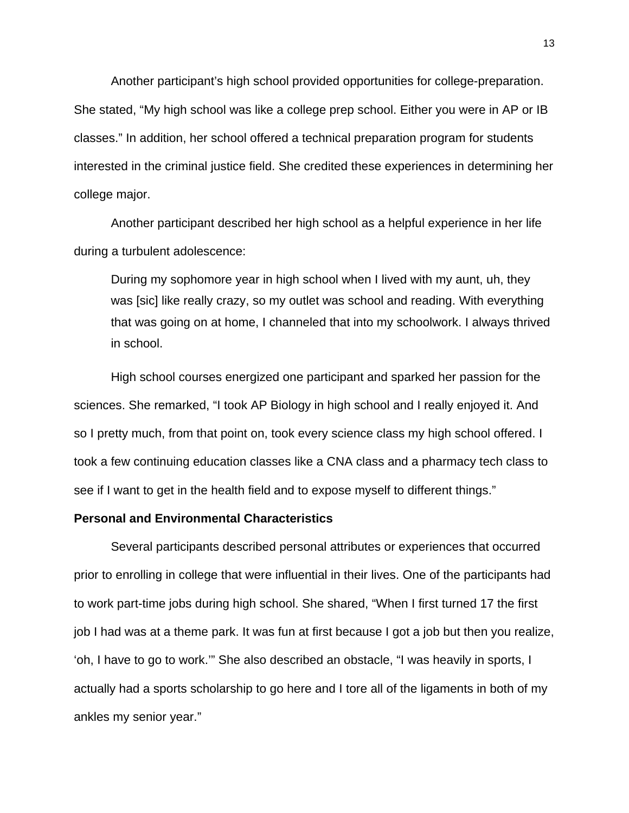Another participant's high school provided opportunities for college-preparation. She stated, "My high school was like a college prep school. Either you were in AP or IB classes." In addition, her school offered a technical preparation program for students interested in the criminal justice field. She credited these experiences in determining her college major.

Another participant described her high school as a helpful experience in her life during a turbulent adolescence:

During my sophomore year in high school when I lived with my aunt, uh, they was [sic] like really crazy, so my outlet was school and reading. With everything that was going on at home, I channeled that into my schoolwork. I always thrived in school.

High school courses energized one participant and sparked her passion for the sciences. She remarked, "I took AP Biology in high school and I really enjoyed it. And so I pretty much, from that point on, took every science class my high school offered. I took a few continuing education classes like a CNA class and a pharmacy tech class to see if I want to get in the health field and to expose myself to different things."

#### **Personal and Environmental Characteristics**

Several participants described personal attributes or experiences that occurred prior to enrolling in college that were influential in their lives. One of the participants had to work part-time jobs during high school. She shared, "When I first turned 17 the first job I had was at a theme park. It was fun at first because I got a job but then you realize, 'oh, I have to go to work.'" She also described an obstacle, "I was heavily in sports, I actually had a sports scholarship to go here and I tore all of the ligaments in both of my ankles my senior year."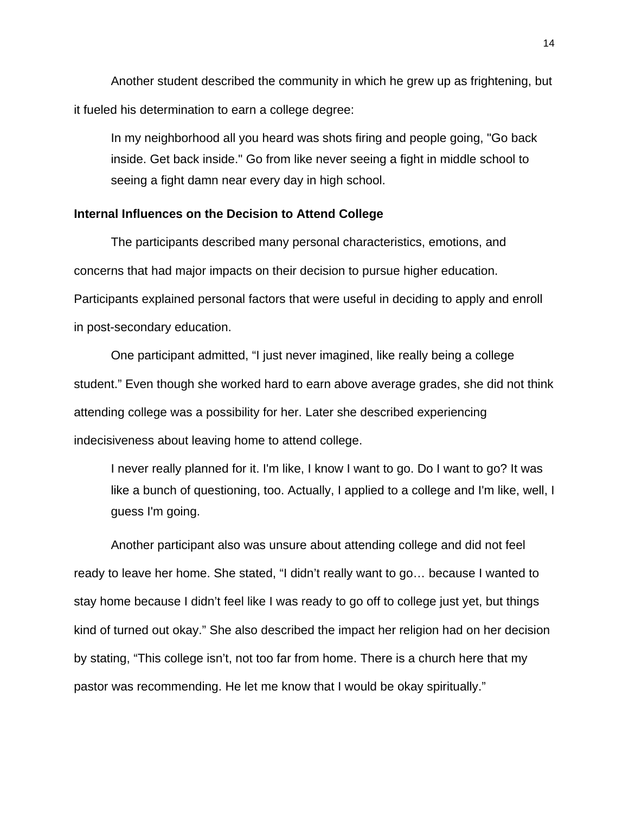Another student described the community in which he grew up as frightening, but it fueled his determination to earn a college degree:

In my neighborhood all you heard was shots firing and people going, "Go back inside. Get back inside." Go from like never seeing a fight in middle school to seeing a fight damn near every day in high school.

#### **Internal Influences on the Decision to Attend College**

The participants described many personal characteristics, emotions, and concerns that had major impacts on their decision to pursue higher education. Participants explained personal factors that were useful in deciding to apply and enroll in post-secondary education.

One participant admitted, "I just never imagined, like really being a college student." Even though she worked hard to earn above average grades, she did not think attending college was a possibility for her. Later she described experiencing indecisiveness about leaving home to attend college.

I never really planned for it. I'm like, I know I want to go. Do I want to go? It was like a bunch of questioning, too. Actually, I applied to a college and I'm like, well, I guess I'm going.

Another participant also was unsure about attending college and did not feel ready to leave her home. She stated, "I didn't really want to go… because I wanted to stay home because I didn't feel like I was ready to go off to college just yet, but things kind of turned out okay." She also described the impact her religion had on her decision by stating, "This college isn't, not too far from home. There is a church here that my pastor was recommending. He let me know that I would be okay spiritually."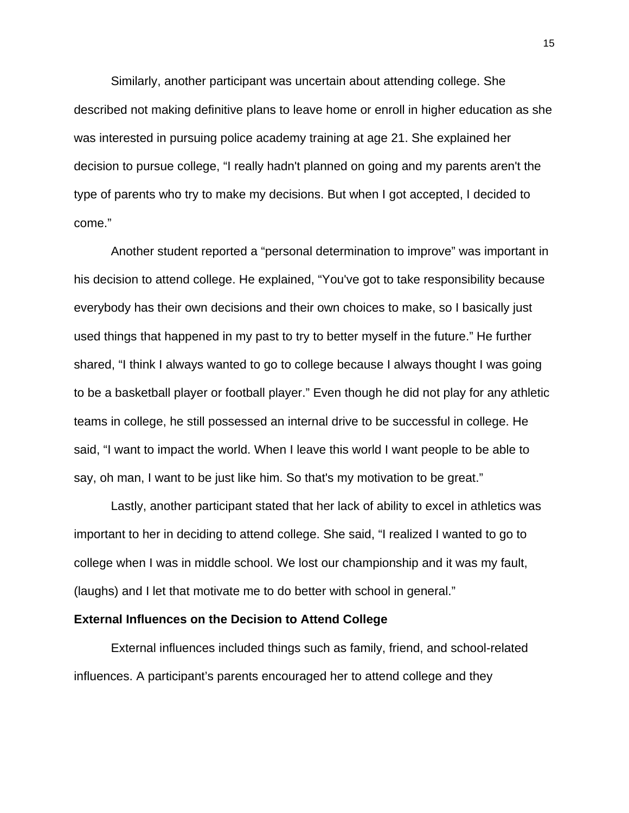Similarly, another participant was uncertain about attending college. She described not making definitive plans to leave home or enroll in higher education as she was interested in pursuing police academy training at age 21. She explained her decision to pursue college, "I really hadn't planned on going and my parents aren't the type of parents who try to make my decisions. But when I got accepted, I decided to come."

Another student reported a "personal determination to improve" was important in his decision to attend college. He explained, "You've got to take responsibility because everybody has their own decisions and their own choices to make, so I basically just used things that happened in my past to try to better myself in the future." He further shared, "I think I always wanted to go to college because I always thought I was going to be a basketball player or football player." Even though he did not play for any athletic teams in college, he still possessed an internal drive to be successful in college. He said, "I want to impact the world. When I leave this world I want people to be able to say, oh man, I want to be just like him. So that's my motivation to be great."

Lastly, another participant stated that her lack of ability to excel in athletics was important to her in deciding to attend college. She said, "I realized I wanted to go to college when I was in middle school. We lost our championship and it was my fault, (laughs) and I let that motivate me to do better with school in general."

#### **External Influences on the Decision to Attend College**

External influences included things such as family, friend, and school-related influences. A participant's parents encouraged her to attend college and they

15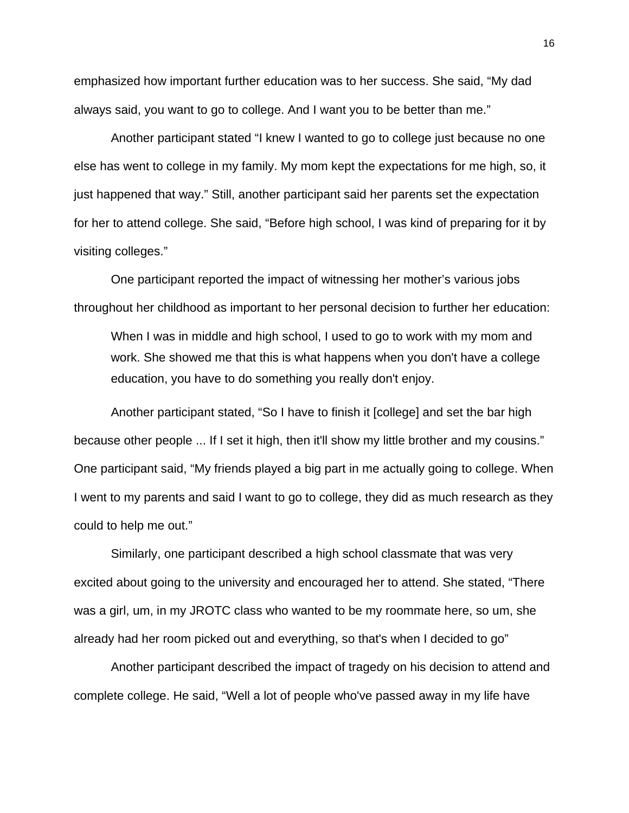emphasized how important further education was to her success. She said, "My dad always said, you want to go to college. And I want you to be better than me."

Another participant stated "I knew I wanted to go to college just because no one else has went to college in my family. My mom kept the expectations for me high, so, it just happened that way." Still, another participant said her parents set the expectation for her to attend college. She said, "Before high school, I was kind of preparing for it by visiting colleges."

One participant reported the impact of witnessing her mother's various jobs throughout her childhood as important to her personal decision to further her education:

When I was in middle and high school, I used to go to work with my mom and work. She showed me that this is what happens when you don't have a college education, you have to do something you really don't enjoy.

Another participant stated, "So I have to finish it [college] and set the bar high because other people ... If I set it high, then it'll show my little brother and my cousins." One participant said, "My friends played a big part in me actually going to college. When I went to my parents and said I want to go to college, they did as much research as they could to help me out."

Similarly, one participant described a high school classmate that was very excited about going to the university and encouraged her to attend. She stated, "There was a girl, um, in my JROTC class who wanted to be my roommate here, so um, she already had her room picked out and everything, so that's when I decided to go"

Another participant described the impact of tragedy on his decision to attend and complete college. He said, "Well a lot of people who've passed away in my life have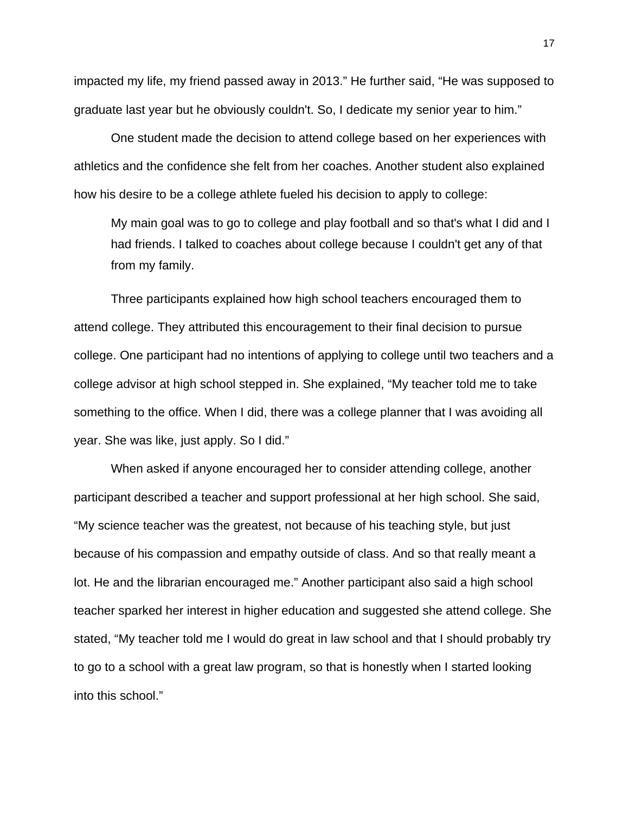impacted my life, my friend passed away in 2013." He further said, "He was supposed to graduate last year but he obviously couldn't. So, I dedicate my senior year to him."

One student made the decision to attend college based on her experiences with athletics and the confidence she felt from her coaches. Another student also explained how his desire to be a college athlete fueled his decision to apply to college:

My main goal was to go to college and play football and so that's what I did and I had friends. I talked to coaches about college because I couldn't get any of that from my family.

Three participants explained how high school teachers encouraged them to attend college. They attributed this encouragement to their final decision to pursue college. One participant had no intentions of applying to college until two teachers and a college advisor at high school stepped in. She explained, "My teacher told me to take something to the office. When I did, there was a college planner that I was avoiding all year. She was like, just apply. So I did."

When asked if anyone encouraged her to consider attending college, another participant described a teacher and support professional at her high school. She said, "My science teacher was the greatest, not because of his teaching style, but just because of his compassion and empathy outside of class. And so that really meant a lot. He and the librarian encouraged me." Another participant also said a high school teacher sparked her interest in higher education and suggested she attend college. She stated, "My teacher told me I would do great in law school and that I should probably try to go to a school with a great law program, so that is honestly when I started looking into this school."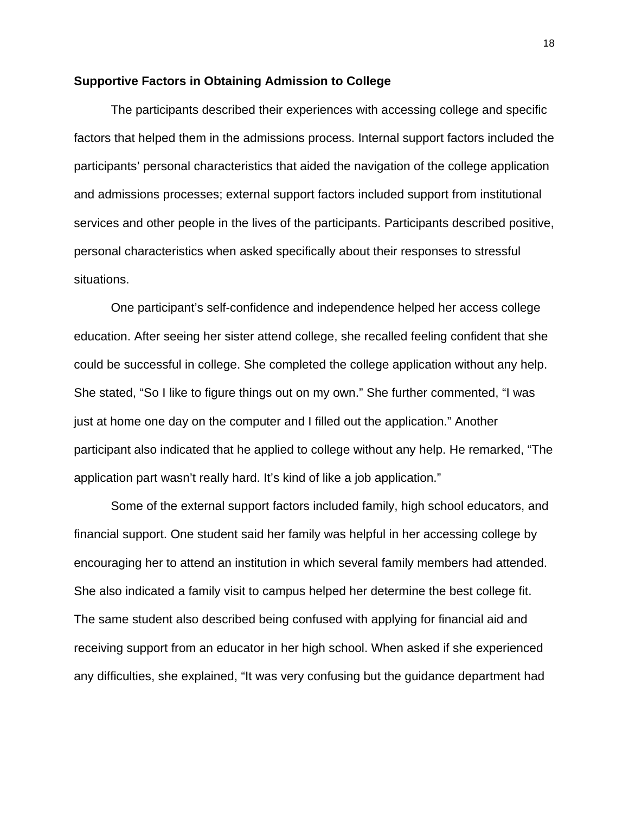#### **Supportive Factors in Obtaining Admission to College**

The participants described their experiences with accessing college and specific factors that helped them in the admissions process. Internal support factors included the participants' personal characteristics that aided the navigation of the college application and admissions processes; external support factors included support from institutional services and other people in the lives of the participants. Participants described positive, personal characteristics when asked specifically about their responses to stressful situations.

One participant's self-confidence and independence helped her access college education. After seeing her sister attend college, she recalled feeling confident that she could be successful in college. She completed the college application without any help. She stated, "So I like to figure things out on my own." She further commented, "I was just at home one day on the computer and I filled out the application." Another participant also indicated that he applied to college without any help. He remarked, "The application part wasn't really hard. It's kind of like a job application."

Some of the external support factors included family, high school educators, and financial support. One student said her family was helpful in her accessing college by encouraging her to attend an institution in which several family members had attended. She also indicated a family visit to campus helped her determine the best college fit. The same student also described being confused with applying for financial aid and receiving support from an educator in her high school. When asked if she experienced any difficulties, she explained, "It was very confusing but the guidance department had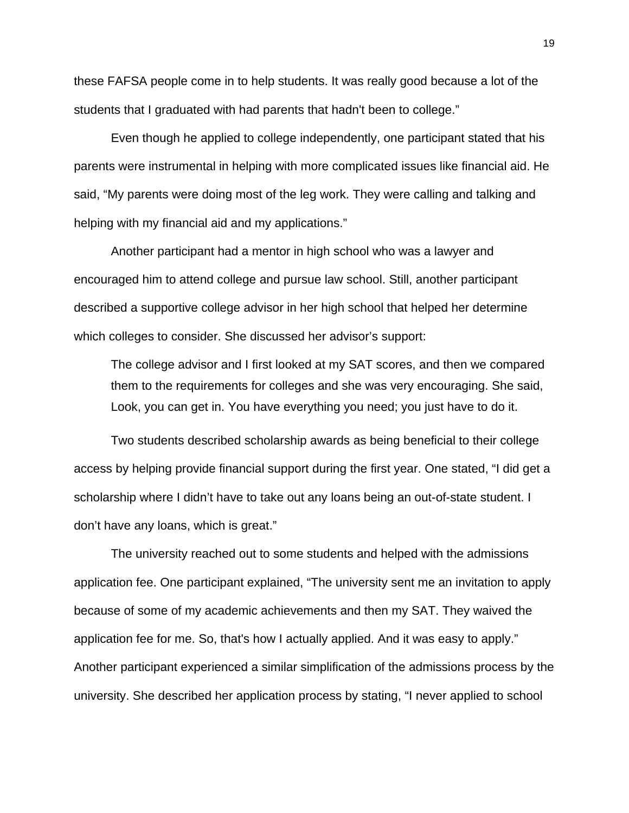these FAFSA people come in to help students. It was really good because a lot of the students that I graduated with had parents that hadn't been to college."

Even though he applied to college independently, one participant stated that his parents were instrumental in helping with more complicated issues like financial aid. He said, "My parents were doing most of the leg work. They were calling and talking and helping with my financial aid and my applications."

Another participant had a mentor in high school who was a lawyer and encouraged him to attend college and pursue law school. Still, another participant described a supportive college advisor in her high school that helped her determine which colleges to consider. She discussed her advisor's support:

The college advisor and I first looked at my SAT scores, and then we compared them to the requirements for colleges and she was very encouraging. She said, Look, you can get in. You have everything you need; you just have to do it.

Two students described scholarship awards as being beneficial to their college access by helping provide financial support during the first year. One stated, "I did get a scholarship where I didn't have to take out any loans being an out-of-state student. I don't have any loans, which is great."

The university reached out to some students and helped with the admissions application fee. One participant explained, "The university sent me an invitation to apply because of some of my academic achievements and then my SAT. They waived the application fee for me. So, that's how I actually applied. And it was easy to apply." Another participant experienced a similar simplification of the admissions process by the university. She described her application process by stating, "I never applied to school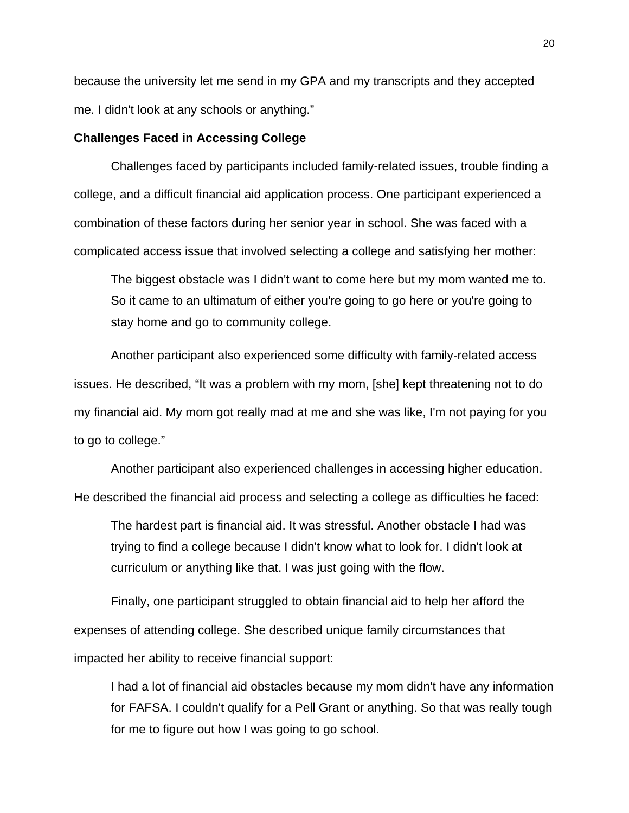because the university let me send in my GPA and my transcripts and they accepted me. I didn't look at any schools or anything."

#### **Challenges Faced in Accessing College**

Challenges faced by participants included family-related issues, trouble finding a college, and a difficult financial aid application process. One participant experienced a combination of these factors during her senior year in school. She was faced with a complicated access issue that involved selecting a college and satisfying her mother:

The biggest obstacle was I didn't want to come here but my mom wanted me to. So it came to an ultimatum of either you're going to go here or you're going to stay home and go to community college.

Another participant also experienced some difficulty with family-related access issues. He described, "It was a problem with my mom, [she] kept threatening not to do my financial aid. My mom got really mad at me and she was like, I'm not paying for you to go to college."

Another participant also experienced challenges in accessing higher education. He described the financial aid process and selecting a college as difficulties he faced:

The hardest part is financial aid. It was stressful. Another obstacle I had was trying to find a college because I didn't know what to look for. I didn't look at curriculum or anything like that. I was just going with the flow.

Finally, one participant struggled to obtain financial aid to help her afford the expenses of attending college. She described unique family circumstances that impacted her ability to receive financial support:

I had a lot of financial aid obstacles because my mom didn't have any information for FAFSA. I couldn't qualify for a Pell Grant or anything. So that was really tough for me to figure out how I was going to go school.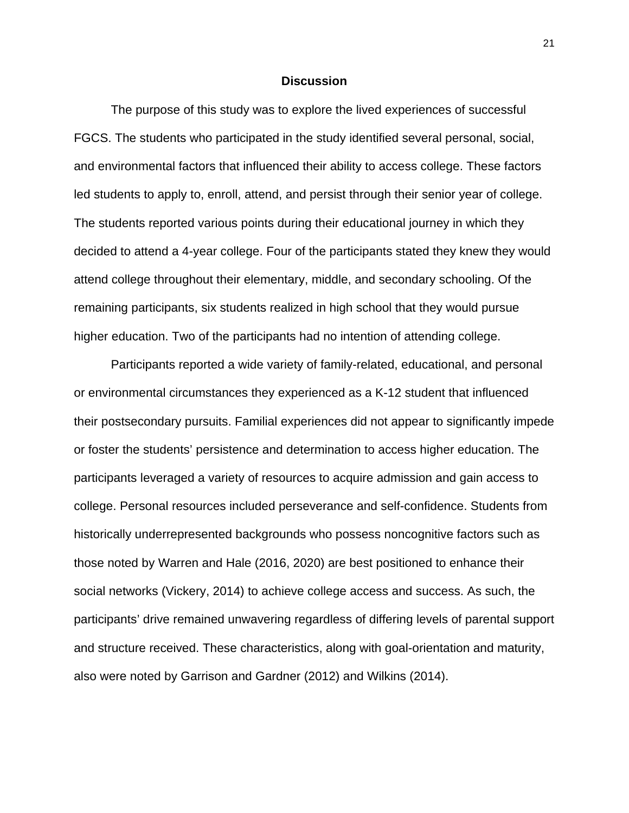### **Discussion**

The purpose of this study was to explore the lived experiences of successful FGCS. The students who participated in the study identified several personal, social, and environmental factors that influenced their ability to access college. These factors led students to apply to, enroll, attend, and persist through their senior year of college. The students reported various points during their educational journey in which they decided to attend a 4-year college. Four of the participants stated they knew they would attend college throughout their elementary, middle, and secondary schooling. Of the remaining participants, six students realized in high school that they would pursue higher education. Two of the participants had no intention of attending college.

Participants reported a wide variety of family-related, educational, and personal or environmental circumstances they experienced as a K-12 student that influenced their postsecondary pursuits. Familial experiences did not appear to significantly impede or foster the students' persistence and determination to access higher education. The participants leveraged a variety of resources to acquire admission and gain access to college. Personal resources included perseverance and self-confidence. Students from historically underrepresented backgrounds who possess noncognitive factors such as those noted by Warren and Hale (2016, 2020) are best positioned to enhance their social networks (Vickery, 2014) to achieve college access and success. As such, the participants' drive remained unwavering regardless of differing levels of parental support and structure received. These characteristics, along with goal-orientation and maturity, also were noted by Garrison and Gardner (2012) and Wilkins (2014).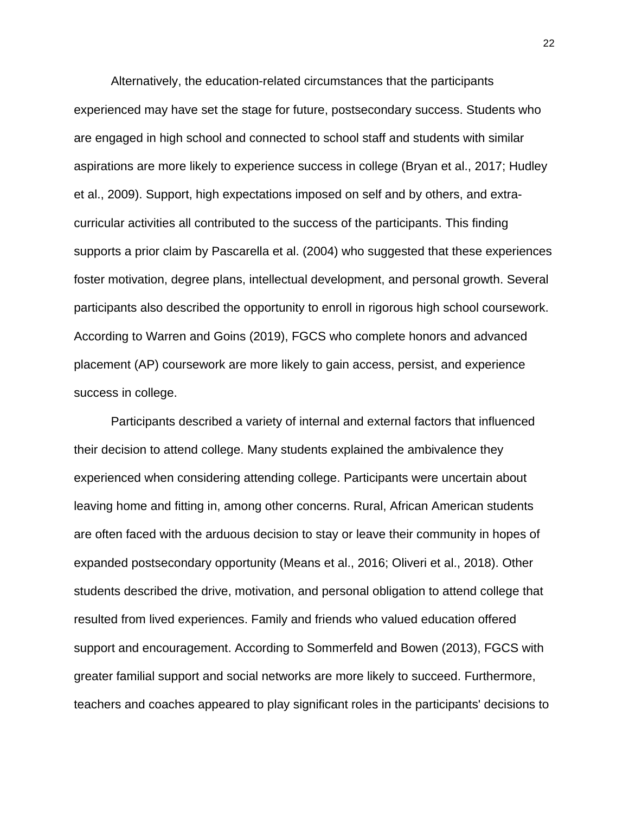Alternatively, the education-related circumstances that the participants experienced may have set the stage for future, postsecondary success. Students who are engaged in high school and connected to school staff and students with similar aspirations are more likely to experience success in college (Bryan et al., 2017; Hudley et al., 2009). Support, high expectations imposed on self and by others, and extracurricular activities all contributed to the success of the participants. This finding supports a prior claim by Pascarella et al. (2004) who suggested that these experiences foster motivation, degree plans, intellectual development, and personal growth. Several participants also described the opportunity to enroll in rigorous high school coursework. According to Warren and Goins (2019), FGCS who complete honors and advanced placement (AP) coursework are more likely to gain access, persist, and experience success in college.

Participants described a variety of internal and external factors that influenced their decision to attend college. Many students explained the ambivalence they experienced when considering attending college. Participants were uncertain about leaving home and fitting in, among other concerns. Rural, African American students are often faced with the arduous decision to stay or leave their community in hopes of expanded postsecondary opportunity (Means et al., 2016; Oliveri et al., 2018). Other students described the drive, motivation, and personal obligation to attend college that resulted from lived experiences. Family and friends who valued education offered support and encouragement. According to Sommerfeld and Bowen (2013), FGCS with greater familial support and social networks are more likely to succeed. Furthermore, teachers and coaches appeared to play significant roles in the participants' decisions to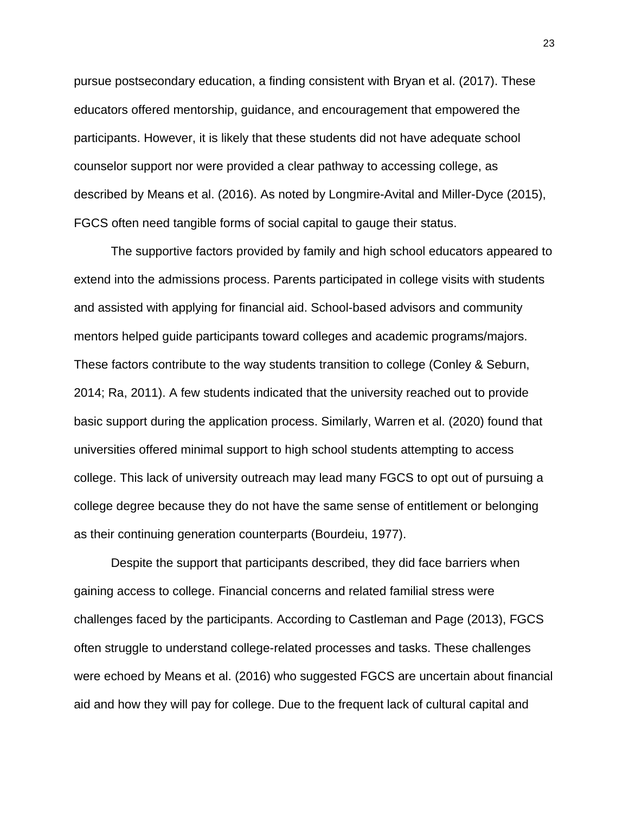pursue postsecondary education, a finding consistent with Bryan et al. (2017). These educators offered mentorship, guidance, and encouragement that empowered the participants. However, it is likely that these students did not have adequate school counselor support nor were provided a clear pathway to accessing college, as described by Means et al. (2016). As noted by Longmire-Avital and Miller-Dyce (2015), FGCS often need tangible forms of social capital to gauge their status.

The supportive factors provided by family and high school educators appeared to extend into the admissions process. Parents participated in college visits with students and assisted with applying for financial aid. School-based advisors and community mentors helped guide participants toward colleges and academic programs/majors. These factors contribute to the way students transition to college (Conley & Seburn, 2014; Ra, 2011). A few students indicated that the university reached out to provide basic support during the application process. Similarly, Warren et al. (2020) found that universities offered minimal support to high school students attempting to access college. This lack of university outreach may lead many FGCS to opt out of pursuing a college degree because they do not have the same sense of entitlement or belonging as their continuing generation counterparts (Bourdeiu, 1977).

Despite the support that participants described, they did face barriers when gaining access to college. Financial concerns and related familial stress were challenges faced by the participants. According to Castleman and Page (2013), FGCS often struggle to understand college-related processes and tasks. These challenges were echoed by Means et al. (2016) who suggested FGCS are uncertain about financial aid and how they will pay for college. Due to the frequent lack of cultural capital and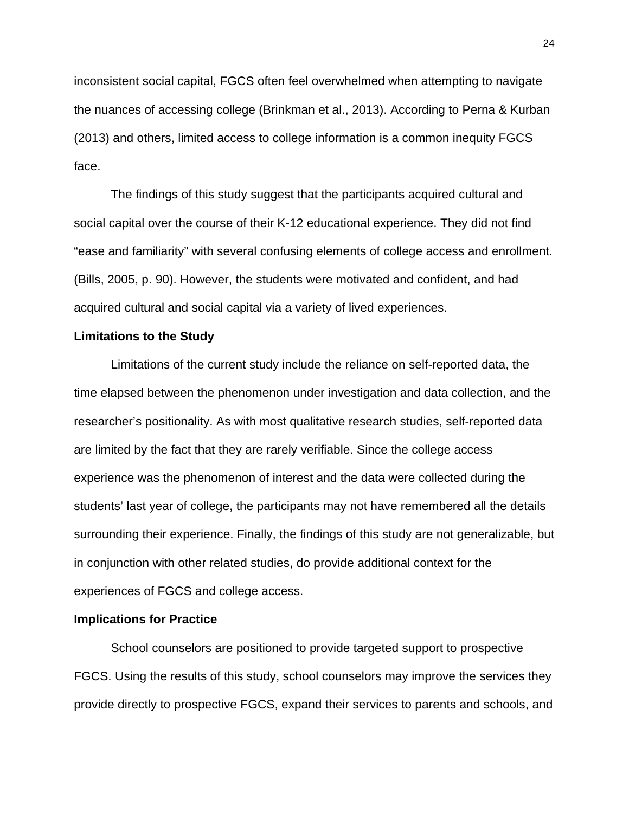inconsistent social capital, FGCS often feel overwhelmed when attempting to navigate the nuances of accessing college (Brinkman et al., 2013). According to Perna & Kurban (2013) and others, limited access to college information is a common inequity FGCS face.

The findings of this study suggest that the participants acquired cultural and social capital over the course of their K-12 educational experience. They did not find "ease and familiarity" with several confusing elements of college access and enrollment. (Bills, 2005, p. 90). However, the students were motivated and confident, and had acquired cultural and social capital via a variety of lived experiences.

### **Limitations to the Study**

Limitations of the current study include the reliance on self-reported data, the time elapsed between the phenomenon under investigation and data collection, and the researcher's positionality. As with most qualitative research studies, self-reported data are limited by the fact that they are rarely verifiable. Since the college access experience was the phenomenon of interest and the data were collected during the students' last year of college, the participants may not have remembered all the details surrounding their experience. Finally, the findings of this study are not generalizable, but in conjunction with other related studies, do provide additional context for the experiences of FGCS and college access.

#### **Implications for Practice**

School counselors are positioned to provide targeted support to prospective FGCS. Using the results of this study, school counselors may improve the services they provide directly to prospective FGCS, expand their services to parents and schools, and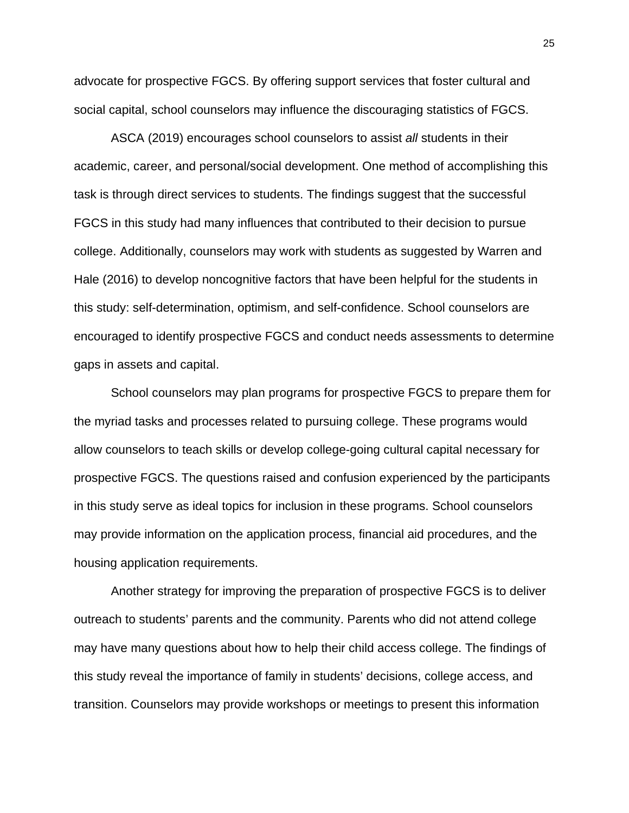advocate for prospective FGCS. By offering support services that foster cultural and social capital, school counselors may influence the discouraging statistics of FGCS.

ASCA (2019) encourages school counselors to assist *all* students in their academic, career, and personal/social development. One method of accomplishing this task is through direct services to students. The findings suggest that the successful FGCS in this study had many influences that contributed to their decision to pursue college. Additionally, counselors may work with students as suggested by Warren and Hale (2016) to develop noncognitive factors that have been helpful for the students in this study: self-determination, optimism, and self-confidence. School counselors are encouraged to identify prospective FGCS and conduct needs assessments to determine gaps in assets and capital.

School counselors may plan programs for prospective FGCS to prepare them for the myriad tasks and processes related to pursuing college. These programs would allow counselors to teach skills or develop college-going cultural capital necessary for prospective FGCS. The questions raised and confusion experienced by the participants in this study serve as ideal topics for inclusion in these programs. School counselors may provide information on the application process, financial aid procedures, and the housing application requirements.

Another strategy for improving the preparation of prospective FGCS is to deliver outreach to students' parents and the community. Parents who did not attend college may have many questions about how to help their child access college. The findings of this study reveal the importance of family in students' decisions, college access, and transition. Counselors may provide workshops or meetings to present this information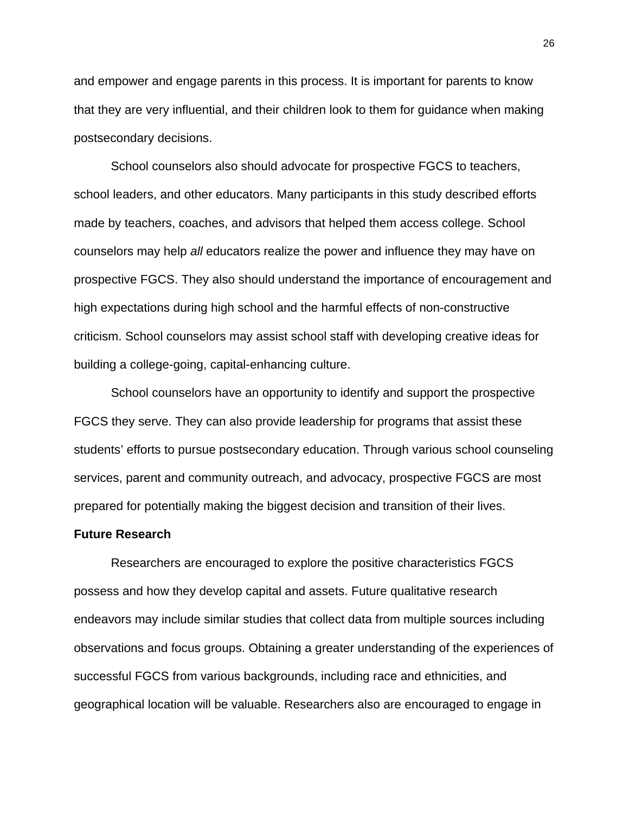and empower and engage parents in this process. It is important for parents to know that they are very influential, and their children look to them for guidance when making postsecondary decisions.

School counselors also should advocate for prospective FGCS to teachers, school leaders, and other educators. Many participants in this study described efforts made by teachers, coaches, and advisors that helped them access college. School counselors may help *all* educators realize the power and influence they may have on prospective FGCS. They also should understand the importance of encouragement and high expectations during high school and the harmful effects of non-constructive criticism. School counselors may assist school staff with developing creative ideas for building a college-going, capital-enhancing culture.

School counselors have an opportunity to identify and support the prospective FGCS they serve. They can also provide leadership for programs that assist these students' efforts to pursue postsecondary education. Through various school counseling services, parent and community outreach, and advocacy, prospective FGCS are most prepared for potentially making the biggest decision and transition of their lives.

#### **Future Research**

Researchers are encouraged to explore the positive characteristics FGCS possess and how they develop capital and assets. Future qualitative research endeavors may include similar studies that collect data from multiple sources including observations and focus groups. Obtaining a greater understanding of the experiences of successful FGCS from various backgrounds, including race and ethnicities, and geographical location will be valuable. Researchers also are encouraged to engage in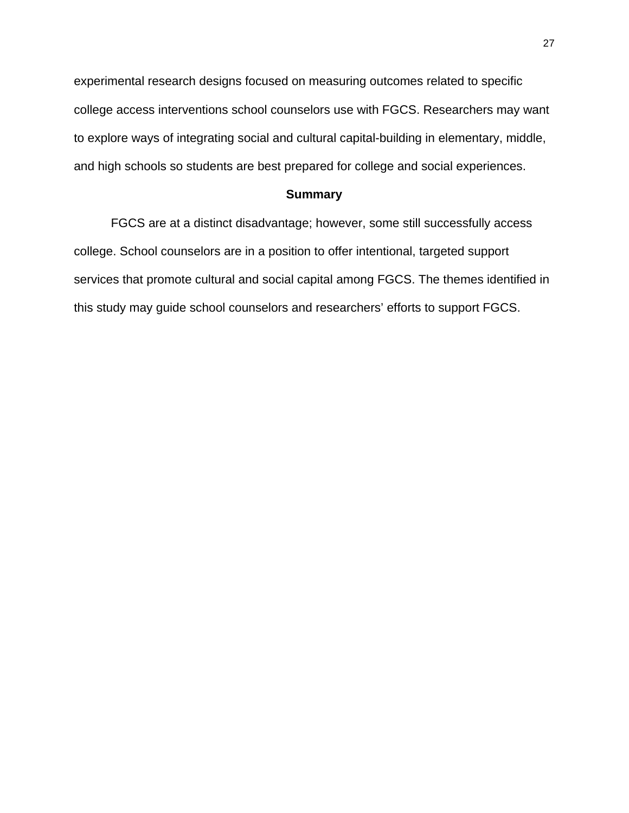experimental research designs focused on measuring outcomes related to specific college access interventions school counselors use with FGCS. Researchers may want to explore ways of integrating social and cultural capital-building in elementary, middle, and high schools so students are best prepared for college and social experiences.

# **Summary**

FGCS are at a distinct disadvantage; however, some still successfully access college. School counselors are in a position to offer intentional, targeted support services that promote cultural and social capital among FGCS. The themes identified in this study may guide school counselors and researchers' efforts to support FGCS.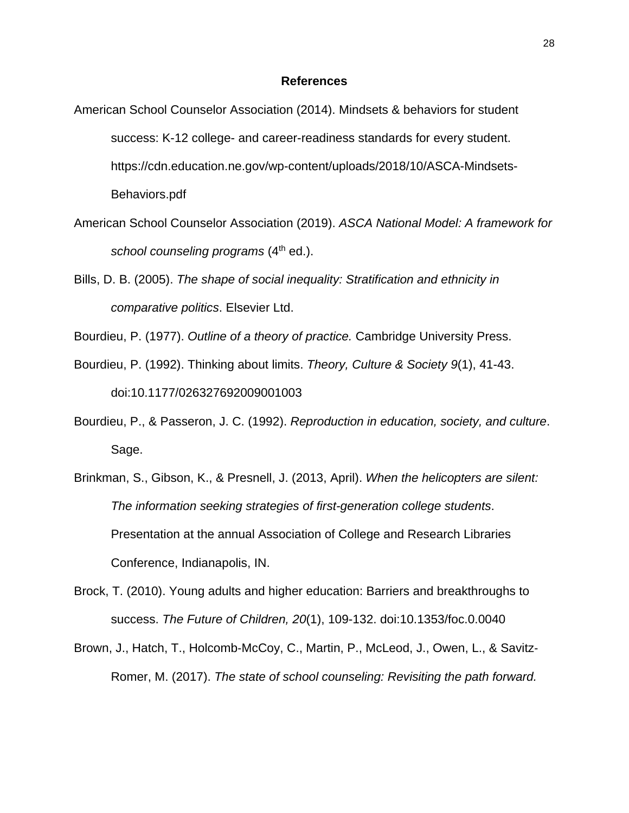#### **References**

- American School Counselor Association (2014). Mindsets & behaviors for student success: K-12 college- and career-readiness standards for every student. https://cdn.education.ne.gov/wp-content/uploads/2018/10/ASCA-Mindsets-Behaviors.pdf
- American School Counselor Association (2019). *ASCA National Model: A framework for school counseling programs* (4th ed.).
- Bills, D. B. (2005). *The shape of social inequality: Stratification and ethnicity in comparative politics*. Elsevier Ltd.
- Bourdieu, P. (1977). *Outline of a theory of practice.* Cambridge University Press.
- Bourdieu, P. (1992). Thinking about limits. *Theory, Culture & Society 9*(1), 41-43. doi:10.1177/026327692009001003
- Bourdieu, P., & Passeron, J. C. (1992). *Reproduction in education, society, and culture*. Sage.
- Brinkman, S., Gibson, K., & Presnell, J. (2013, April). *When the helicopters are silent: The information seeking strategies of first-generation college students*. Presentation at the annual Association of College and Research Libraries Conference, Indianapolis, IN.
- Brock, T. (2010). Young adults and higher education: Barriers and breakthroughs to success. *The Future of Children, 20*(1), 109-132. doi:10.1353/foc.0.0040
- Brown, J., Hatch, T., Holcomb‐McCoy, C., Martin, P., McLeod, J., Owen, L., & Savitz‐ Romer, M. (2017). *The state of school counseling: Revisiting the path forward.*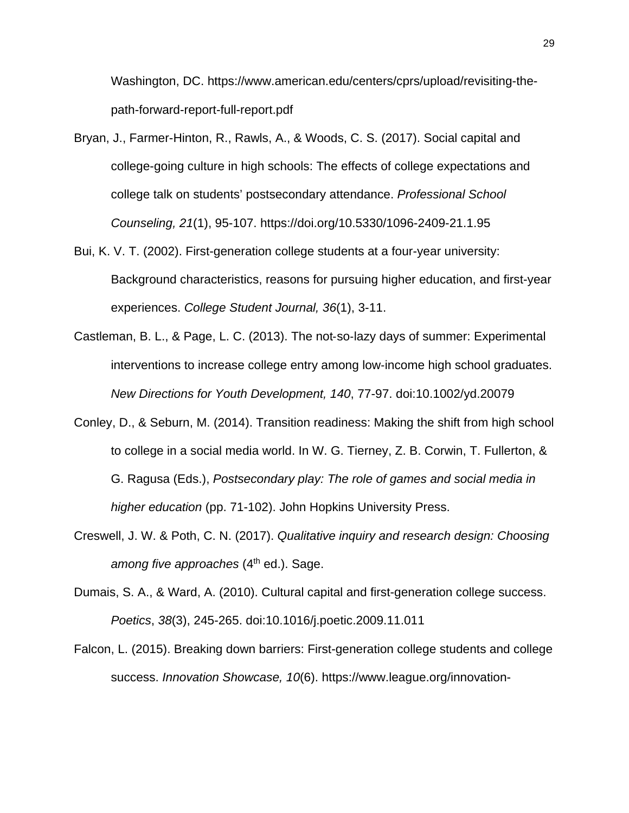Washington, DC. https://www.american.edu/centers/cprs/upload/revisiting-thepath-forward-report-full-report.pdf

- Bryan, J., Farmer-Hinton, R., Rawls, A., & Woods, C. S. (2017). Social capital and college-going culture in high schools: The effects of college expectations and college talk on students' postsecondary attendance. *Professional School Counseling, 21*(1), 95-107. https://doi.org/10.5330/1096-2409-21.1.95
- Bui, K. V. T. (2002). First-generation college students at a four-year university: Background characteristics, reasons for pursuing higher education, and first-year experiences. *College Student Journal, 36*(1), 3-11.
- Castleman, B. L., & Page, L. C. (2013). The not‐so‐lazy days of summer: Experimental interventions to increase college entry among low‐income high school graduates. *New Directions for Youth Development, 140*, 77-97. doi:10.1002/yd.20079
- Conley, D., & Seburn, M. (2014). Transition readiness: Making the shift from high school to college in a social media world. In W. G. Tierney, Z. B. Corwin, T. Fullerton, & G. Ragusa (Eds.), *Postsecondary play: The role of games and social media in higher education* (pp. 71-102). John Hopkins University Press.
- Creswell, J. W. & Poth, C. N. (2017). *Qualitative inquiry and research design: Choosing among five approaches* (4<sup>th</sup> ed.). Sage.
- Dumais, S. A., & Ward, A. (2010). Cultural capital and first-generation college success. *Poetics*, *38*(3), 245-265. doi:10.1016/j.poetic.2009.11.011
- Falcon, L. (2015). Breaking down barriers: First-generation college students and college success. *Innovation Showcase, 10*(6). https://www.league.org/innovation-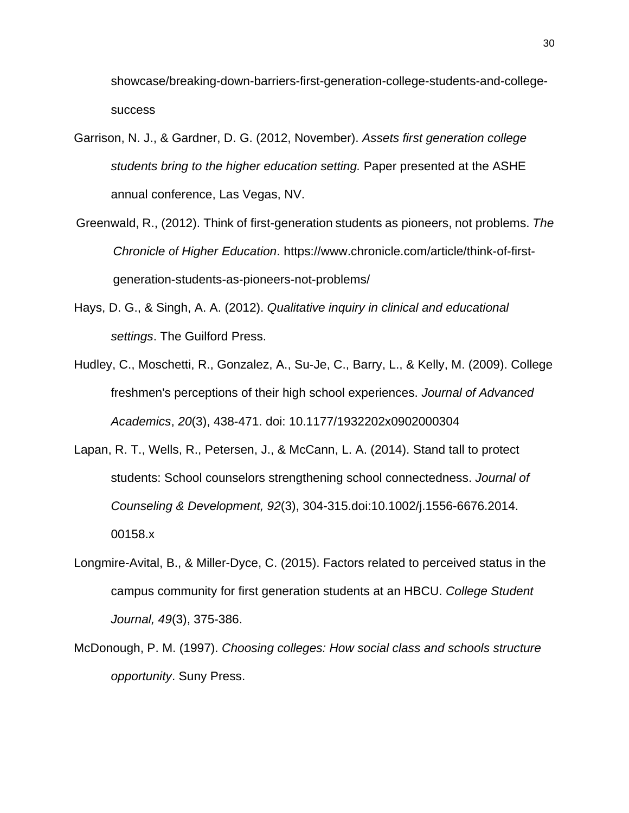showcase/breaking-down-barriers-first-generation-college-students-and-collegesuccess

- Garrison, N. J., & Gardner, D. G. (2012, November). *Assets first generation college students bring to the higher education setting.* Paper presented at the ASHE annual conference, Las Vegas, NV.
- Greenwald, R., (2012). Think of first-generation students as pioneers, not problems. *The Chronicle of Higher Education*. https://www.chronicle.com/article/think-of-firstgeneration-students-as-pioneers-not-problems/
- Hays, D. G., & Singh, A. A. (2012). *Qualitative inquiry in clinical and educational settings*. The Guilford Press.
- Hudley, C., Moschetti, R., Gonzalez, A., Su-Je, C., Barry, L., & Kelly, M. (2009). College freshmen's perceptions of their high school experiences. *Journal of Advanced Academics*, *20*(3), 438-471. doi: 10.1177/1932202x0902000304
- Lapan, R. T., Wells, R., Petersen, J., & McCann, L. A. (2014). Stand tall to protect students: School counselors strengthening school connectedness. *Journal of Counseling & Development, 92*(3), 304-315.doi:10.1002/j.1556-6676.2014. 00158.x
- Longmire-Avital, B., & Miller-Dyce, C. (2015). Factors related to perceived status in the campus community for first generation students at an HBCU. *College Student Journal, 49*(3), 375-386.
- McDonough, P. M. (1997). *Choosing colleges: How social class and schools structure opportunity*. Suny Press.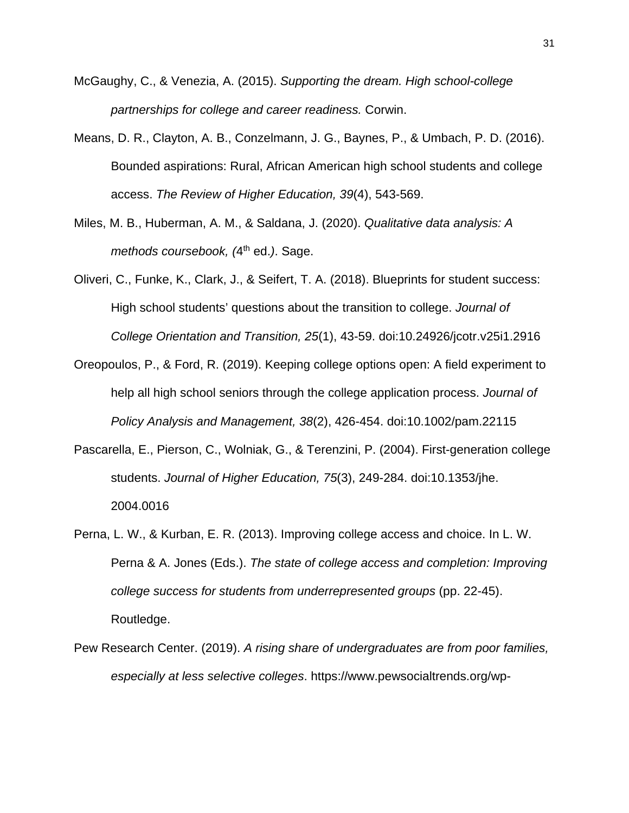- McGaughy, C., & Venezia, A. (2015). *Supporting the dream. High school-college partnerships for college and career readiness.* Corwin.
- Means, D. R., Clayton, A. B., Conzelmann, J. G., Baynes, P., & Umbach, P. D. (2016). Bounded aspirations: Rural, African American high school students and college access. *The Review of Higher Education, 39*(4), 543-569.
- Miles, M. B., Huberman, A. M., & Saldana, J. (2020). *Qualitative data analysis: A methods coursebook, (4<sup>th</sup> ed.).* Sage.
- Oliveri, C., Funke, K., Clark, J., & Seifert, T. A. (2018). Blueprints for student success: High school students' questions about the transition to college. *Journal of College Orientation and Transition, 25*(1), 43-59. doi:10.24926/jcotr.v25i1.2916
- Oreopoulos, P., & Ford, R. (2019). Keeping college options open: A field experiment to help all high school seniors through the college application process. *Journal of Policy Analysis and Management, 38*(2), 426-454. doi:10.1002/pam.22115
- Pascarella, E., Pierson, C., Wolniak, G., & Terenzini, P. (2004). First-generation college students. *Journal of Higher Education, 75*(3), 249-284. doi:10.1353/jhe. 2004.0016
- Perna, L. W., & Kurban, E. R. (2013). Improving college access and choice. In L. W. Perna & A. Jones (Eds.). *The state of college access and completion: Improving college success for students from underrepresented groups* (pp. 22-45). Routledge.
- Pew Research Center. (2019). *A rising share of undergraduates are from poor families, especially at less selective colleges*. https://www.pewsocialtrends.org/wp-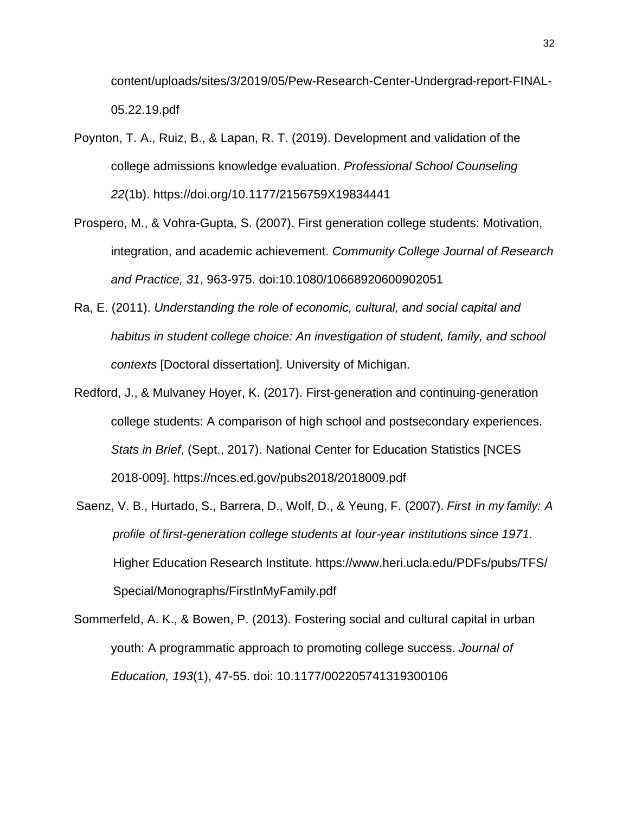content/uploads/sites/3/2019/05/Pew-Research-Center-Undergrad-report-FINAL-05.22.19.pdf

- Poynton, T. A., Ruiz, B., & Lapan, R. T. (2019). Development and validation of the college admissions knowledge evaluation. *Professional School Counseling 22*(1b). https://doi.org/10.1177/2156759X19834441
- Prospero, M., & Vohra-Gupta, S. (2007). First generation college students: Motivation, integration, and academic achievement. *Community College Journal of Research and Practice, 31*, 963-975. doi:10.1080/10668920600902051
- Ra, E. (2011). *Understanding the role of economic, cultural, and social capital and habitus in student college choice: An investigation of student, family, and school contexts* [Doctoral dissertation]. University of Michigan.
- Redford, J., & Mulvaney Hoyer, K. (2017). First-generation and continuing-generation college students: A comparison of high school and postsecondary experiences. *Stats in Brief*, (Sept., 2017). National Center for Education Statistics [NCES 2018-009]. https://nces.ed.gov/pubs2018/2018009.pdf
- Saenz, V. B., Hurtado, S., Barrera, D., Wolf, D., & Yeung, F. (2007). *First in my family: A profile of first-generation college students at four-year institutions since 1971*. Higher Education Research Institute. https://www.heri.ucla.edu/PDFs/pubs/TFS/ Special/Monographs/FirstInMyFamily.pdf
- Sommerfeld, A. K., & Bowen, P. (2013). Fostering social and cultural capital in urban youth: A programmatic approach to promoting college success. *Journal of Education, 193*(1), 47-55. doi: 10.1177/002205741319300106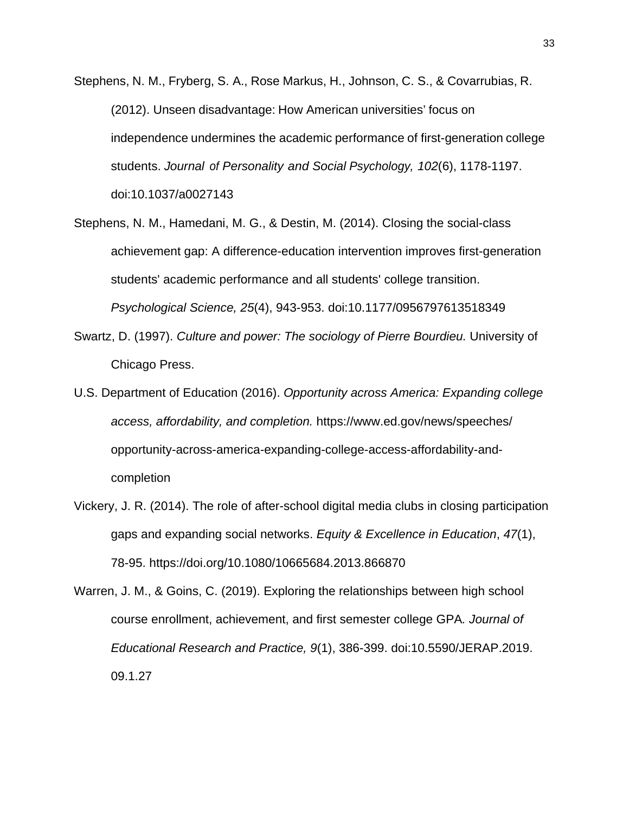- Stephens, N. M., Fryberg, S. A., Rose Markus, H., Johnson, C. S., & Covarrubias, R. (2012). Unseen disadvantage: How American universities' focus on independence undermines the academic performance of first-generation college students. *Journal of Personality and Social Psychology, 102*(6), 1178-1197. doi:10.1037/a0027143
- Stephens, N. M., Hamedani, M. G., & Destin, M. (2014). Closing the social-class achievement gap: A difference-education intervention improves first-generation students' academic performance and all students' college transition. *Psychological Science, 25*(4), 943-953. doi:10.1177/0956797613518349
- Swartz, D. (1997). *Culture and power: The sociology of Pierre Bourdieu.* University of Chicago Press.
- U.S. Department of Education (2016). *Opportunity across America: Expanding college access, affordability, and completion.* https://www.ed.gov/news/speeches/ opportunity-across-america-expanding-college-access-affordability-andcompletion
- Vickery, J. R. (2014). The role of after-school digital media clubs in closing participation gaps and expanding social networks. *Equity & Excellence in Education*, *47*(1), 78-95. https://doi.org/10.1080/10665684.2013.866870

Warren, J. M., & Goins, C. (2019). Exploring the relationships between high school course enrollment, achievement, and first semester college GPA*. Journal of Educational Research and Practice, 9*(1), 386-399. doi:10.5590/JERAP.2019. 09.1.27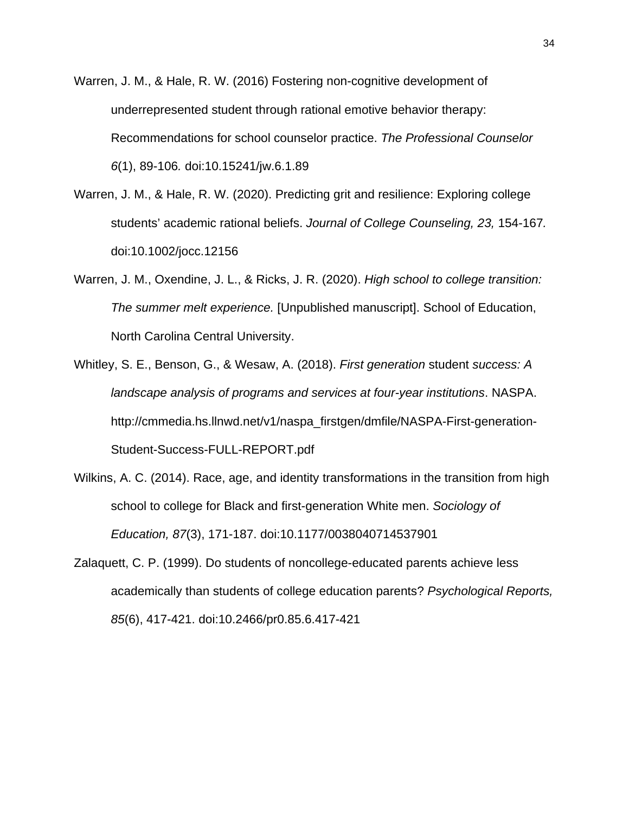- Warren, J. M., & Hale, R. W. (2016) Fostering non-cognitive development of underrepresented student through rational emotive behavior therapy: Recommendations for school counselor practice. *The Professional Counselor 6*(1), 89-106*.* doi:10.15241/jw.6.1.89
- Warren, J. M., & Hale, R. W. (2020). Predicting grit and resilience: Exploring college students' academic rational beliefs. *Journal of College Counseling, 23,* 154-167*.* doi:10.1002/jocc.12156
- Warren, J. M., Oxendine, J. L., & Ricks, J. R. (2020). *High school to college transition: The summer melt experience.* [Unpublished manuscript]. School of Education, North Carolina Central University.
- Whitley, S. E., Benson, G., & Wesaw, A. (2018). *First generation* student *success: A landscape analysis of programs and services at four-year institutions*. NASPA. http://cmmedia.hs.llnwd.net/v1/naspa\_firstgen/dmfile/NASPA-First-generation-Student-Success-FULL-REPORT.pdf
- Wilkins, A. C. (2014). Race, age, and identity transformations in the transition from high school to college for Black and first-generation White men. *Sociology of Education, 87*(3), 171-187. doi:10.1177/0038040714537901
- Zalaquett, C. P. (1999). Do students of noncollege-educated parents achieve less academically than students of college education parents? *Psychological Reports, 85*(6), 417-421. doi:10.2466/pr0.85.6.417-421